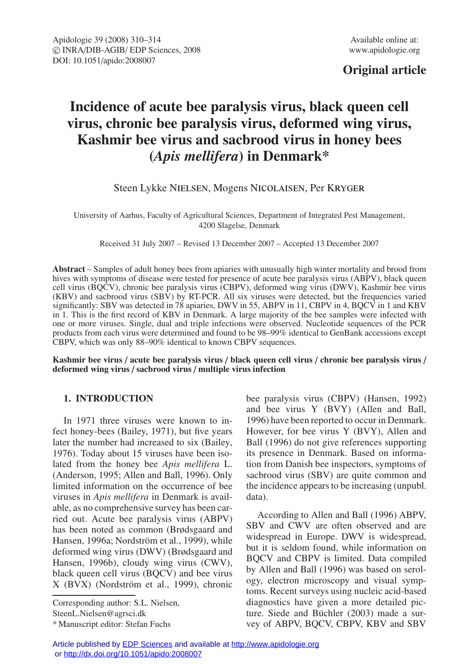## **Original article**

# **Incidence of acute bee paralysis virus, black queen cell virus, chronic bee paralysis virus, deformed wing virus, Kashmir bee virus and sacbrood virus in honey bees (***Apis mellifera***) in Denmark\***

Steen Lykke Nielsen, Mogens Nicolaisen, Per Kryger

University of Aarhus, Faculty of Agricultural Sciences, Department of Integrated Pest Management, 4200 Slagelse, Denmark

Received 31 July 2007 – Revised 13 December 2007 – Accepted 13 December 2007

**Abstract** – Samples of adult honey bees from apiaries with unusually high winter mortality and brood from hives with symptoms of disease were tested for presence of acute bee paralysis virus (ABPV), black queen cell virus (BQCV), chronic bee paralysis virus (CBPV), deformed wing virus (DWV), Kashmir bee virus (KBV) and sacbrood virus (SBV) by RT-PCR. All six viruses were detected, but the frequencies varied significantly: SBV was detected in 78 apiaries, DWV in 55, ABPV in 11, CBPV in 4, BQCV in 1 and KBV in 1. This is the first record of KBV in Denmark. A large majority of the bee samples were infected with one or more viruses. Single, dual and triple infections were observed. Nucleotide sequences of the PCR products from each virus were determined and found to be 98–99% identical to GenBank accessions except CBPV, which was only 88–90% identical to known CBPV sequences.

**Kashmir bee virus** / **acute bee paralysis virus** / **black queen cell virus** / **chronic bee paralysis virus** / **deformed wing virus** / **sacbrood virus** / **multiple virus infection**

## **1. INTRODUCTION**

In 1971 three viruses were known to infect honey-bees (Bailey, 1971), but five years later the number had increased to six (Bailey, 1976). Today about 15 viruses have been isolated from the honey bee *Apis mellifera* L. (Anderson, 1995; Allen and Ball, 1996). Only limited information on the occurrence of bee viruses in *Apis mellifera* in Denmark is available, as no comprehensive survey has been carried out. Acute bee paralysis virus (ABPV) has been noted as common (Brødsgaard and Hansen, 1996a; Nordström et al., 1999), while deformed wing virus (DWV) (Brødsgaard and Hansen, 1996b), cloudy wing virus (CWV), black queen cell virus (BQCV) and bee virus X (BVX) (Nordström et al., 1999), chronic

Corresponding author: S.L. Nielsen, SteenL.Nielsen@agrsci.dk

bee paralysis virus (CBPV) (Hansen, 1992) and bee virus Y (BVY) (Allen and Ball, 1996) have been reported to occur in Denmark. However, for bee virus Y (BVY), Allen and Ball (1996) do not give references supporting its presence in Denmark. Based on information from Danish bee inspectors, symptoms of sacbrood virus (SBV) are quite common and the incidence appears to be increasing (unpubl. data).

According to Allen and Ball (1996) ABPV, SBV and CWV are often observed and are widespread in Europe. DWV is widespread, but it is seldom found, while information on BQCV and CBPV is limited. Data compiled by Allen and Ball (1996) was based on serology, electron microscopy and visual symptoms. Recent surveys using nucleic acid-based diagnostics have given a more detailed picture. Siede and Büchler (2003) made a survey of ABPV, BQCV, CBPV, KBV and SBV

<sup>\*</sup> Manuscript editor: Stefan Fuchs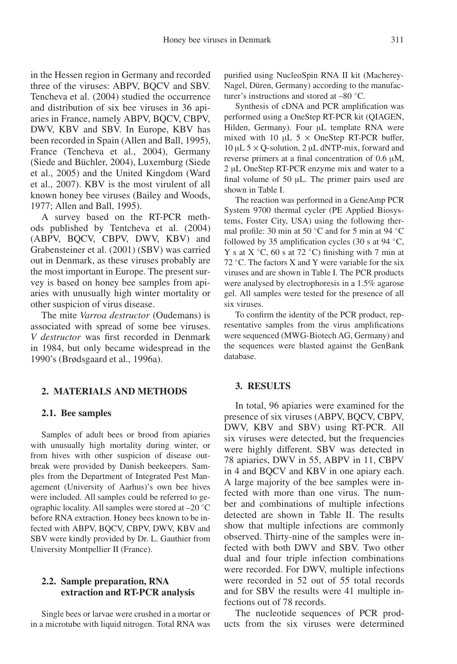in the Hessen region in Germany and recorded three of the viruses: ABPV, BQCV and SBV. Tencheva et al. (2004) studied the occurrence and distribution of six bee viruses in 36 apiaries in France, namely ABPV, BQCV, CBPV, DWV, KBV and SBV. In Europe, KBV has been recorded in Spain (Allen and Ball, 1995), France (Tencheva et al., 2004), Germany (Siede and Büchler, 2004), Luxemburg (Siede et al., 2005) and the United Kingdom (Ward et al., 2007). KBV is the most virulent of all known honey bee viruses (Bailey and Woods, 1977; Allen and Ball, 1995).

A survey based on the RT-PCR methods published by Tentcheva et al. (2004) (ABPV, BQCV, CBPV, DWV, KBV) and Grabensteiner et al. (2001) (SBV) was carried out in Denmark, as these viruses probably are the most important in Europe. The present survey is based on honey bee samples from apiaries with unusually high winter mortality or other suspicion of virus disease.

The mite *Varroa destructor* (Oudemans) is associated with spread of some bee viruses. *V destructor* was first recorded in Denmark in 1984, but only became widespread in the 1990's (Brødsgaard et al., 1996a).

#### **2. MATERIALS AND METHODS**

#### **2.1. Bee samples**

Samples of adult bees or brood from apiaries with unusually high mortality during winter, or from hives with other suspicion of disease outbreak were provided by Danish beekeepers. Samples from the Department of Integrated Pest Management (University of Aarhus)'s own bee hives were included. All samples could be referred to geographic locality. All samples were stored at –20 ◦C before RNA extraction. Honey bees known to be infected with ABPV, BQCV, CBPV, DWV, KBV and SBV were kindly provided by Dr. L. Gauthier from University Montpellier II (France).

#### **2.2. Sample preparation, RNA extraction and RT-PCR analysis**

Single bees or larvae were crushed in a mortar or in a microtube with liquid nitrogen. Total RNA was purified using NucleoSpin RNA II kit (Macherey-Nagel, Düren, Germany) according to the manufacturer's instructions and stored at –80 ◦C.

Synthesis of cDNA and PCR amplification was performed using a OneStep RT-PCR kit (QIAGEN, Hilden, Germany). Four µL template RNA were mixed with 10  $\mu$ L 5  $\times$  OneStep RT-PCR buffer,  $10 \mu L$  5  $\times$  Q-solution, 2  $\mu$ L dNTP-mix, forward and reverse primers at a final concentration of 0.6 µM, 2 µL OneStep RT-PCR enzyme mix and water to a final volume of 50 µL. The primer pairs used are shown in Table I.

The reaction was performed in a GeneAmp PCR System 9700 thermal cycler (PE Applied Biosystems, Foster City, USA) using the following thermal profile: 30 min at 50 ◦C and for 5 min at 94 ◦C followed by 35 amplification cycles (30 s at 94  $°C$ , Y s at  $X °C$ , 60 s at 72 °C) finishing with 7 min at 72  $°C$ . The factors X and Y were variable for the six viruses and are shown in Table I. The PCR products were analysed by electrophoresis in a 1.5% agarose gel. All samples were tested for the presence of all six viruses.

To confirm the identity of the PCR product, representative samples from the virus amplifications were sequenced (MWG-Biotech AG, Germany) and the sequences were blasted against the GenBank database.

## **3. RESULTS**

In total, 96 apiaries were examined for the presence of six viruses (ABPV, BQCV, CBPV, DWV, KBV and SBV) using RT-PCR. All six viruses were detected, but the frequencies were highly different. SBV was detected in 78 apiaries, DWV in 55, ABPV in 11, CBPV in 4 and BQCV and KBV in one apiary each. A large majority of the bee samples were infected with more than one virus. The number and combinations of multiple infections detected are shown in Table II. The results show that multiple infections are commonly observed. Thirty-nine of the samples were infected with both DWV and SBV. Two other dual and four triple infection combinations were recorded. For DWV, multiple infections were recorded in 52 out of 55 total records and for SBV the results were 41 multiple infections out of 78 records.

The nucleotide sequences of PCR products from the six viruses were determined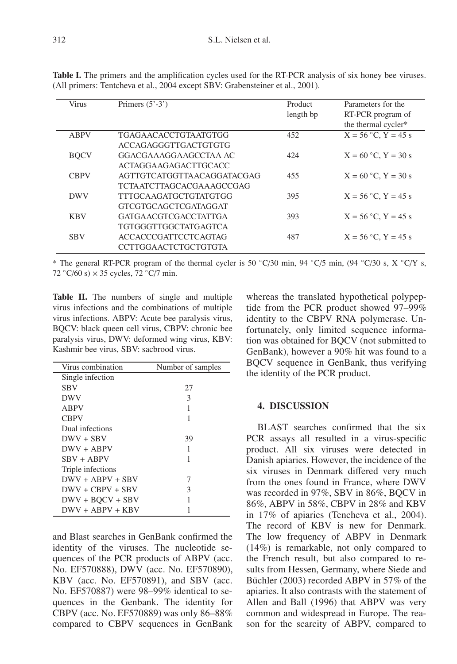| Virus       | Primers $(5' - 3')$          | Product   | Parameters for the      |
|-------------|------------------------------|-----------|-------------------------|
|             |                              | length bp | RT-PCR program of       |
|             |                              |           | the thermal cycler*     |
| <b>ABPV</b> | <b>TGAGAACACCTGTAATGTGG</b>  | 452       | $X = 56$ °C, $Y = 45$ s |
|             | ACCAGAGGGTTGACTGTGTG         |           |                         |
| <b>BOCV</b> | GGACGAAAGGAAGCCTAA AC        | 424       | $X = 60$ °C, $Y = 30$ s |
|             | ACTAGGA AGAGACTTGCACC        |           |                         |
| <b>CBPV</b> | AGTTGTCATGGTTA ACAGGATACGAG  | 455       | $X = 60$ °C, $Y = 30$ s |
|             | TCTA ATCTTAGCACGA A AGCCGAG  |           |                         |
| <b>DWV</b>  | <b>TTTGCAAGATGCTGTATGTGG</b> | 395       | $X = 56$ °C, $Y = 45$ s |
|             | GTCGTGCAGCTCGATAGGAT         |           |                         |
| <b>KBV</b>  | <b>GATGAACGTCGACCTATTGA</b>  | 393       | $X = 56$ °C, $Y = 45$ s |
|             | <b>TGTGGGTTGGCTATGAGTCA</b>  |           |                         |
| <b>SBV</b>  | <b>ACCACCCGATTCCTCAGTAG</b>  | 487       | $X = 56$ °C, $Y = 45$ s |
|             | CCTTGGAACTCTGCTGTGTA         |           |                         |

**Table I.** The primers and the amplification cycles used for the RT-PCR analysis of six honey bee viruses. (All primers: Tentcheva et al., 2004 except SBV: Grabensteiner et al., 2001).

\* The general RT-PCR program of the thermal cycler is 50 ◦C/30 min, 94 ◦C/5 min, (94 ◦C/30 s, X ◦C/Y s, 72  $\degree$ C/60 s)  $\times$  35 cycles, 72  $\degree$ C/7 min.

**Table II.** The numbers of single and multiple virus infections and the combinations of multiple virus infections. ABPV: Acute bee paralysis virus, BQCV: black queen cell virus, CBPV: chronic bee paralysis virus, DWV: deformed wing virus, KBV: Kashmir bee virus, SBV: sacbrood virus.

| Virus combination  | Number of samples |  |
|--------------------|-------------------|--|
| Single infection   |                   |  |
| SBV                | 27                |  |
| DWV                | 3                 |  |
| <b>ABPV</b>        | 1                 |  |
| <b>CBPV</b>        |                   |  |
| Dual infections    |                   |  |
| $DWV + SBV$        | 39                |  |
| $DWV + ABPV$       | 1                 |  |
| SBV + ABPV         | 1                 |  |
| Triple infections  |                   |  |
| $DWV + ABPV + SRV$ | 7                 |  |
| $DWV + CPV + SRV$  | 3                 |  |
| $DWV + BOCV + SBV$ |                   |  |
| $DWV + ABPV + KBV$ |                   |  |

and Blast searches in GenBank confirmed the identity of the viruses. The nucleotide sequences of the PCR products of ABPV (acc. No. EF570888), DWV (acc. No. EF570890), KBV (acc. No. EF570891), and SBV (acc. No. EF570887) were 98–99% identical to sequences in the Genbank. The identity for CBPV (acc. No. EF570889) was only 86–88% compared to CBPV sequences in GenBank

whereas the translated hypothetical polypeptide from the PCR product showed 97–99% identity to the CBPV RNA polymerase. Unfortunately, only limited sequence information was obtained for BQCV (not submitted to GenBank), however a 90% hit was found to a BQCV sequence in GenBank, thus verifying the identity of the PCR product.

### **4. DISCUSSION**

BLAST searches confirmed that the six PCR assays all resulted in a virus-specific product. All six viruses were detected in Danish apiaries. However, the incidence of the six viruses in Denmark differed very much from the ones found in France, where DWV was recorded in 97%, SBV in 86%, BOCV in 86%, ABPV in 58%, CBPV in 28% and KBV in 17% of apiaries (Tencheva et al., 2004). The record of KBV is new for Denmark. The low frequency of ABPV in Denmark (14%) is remarkable, not only compared to the French result, but also compared to results from Hessen, Germany, where Siede and Büchler (2003) recorded ABPV in 57% of the apiaries. It also contrasts with the statement of Allen and Ball (1996) that ABPV was very common and widespread in Europe. The reason for the scarcity of ABPV, compared to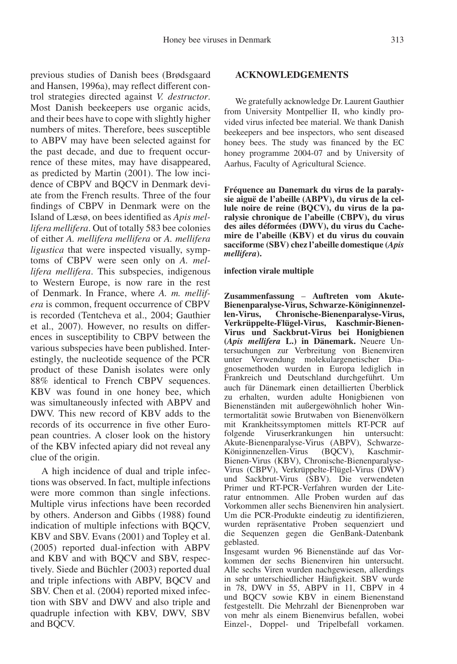previous studies of Danish bees (Brødsgaard and Hansen, 1996a), may reflect different control strategies directed against *V. destructor*. Most Danish beekeepers use organic acids, and their bees have to cope with slightly higher numbers of mites. Therefore, bees susceptible to ABPV may have been selected against for the past decade, and due to frequent occurrence of these mites, may have disappeared, as predicted by Martin (2001). The low incidence of CBPV and BQCV in Denmark deviate from the French results. Three of the four findings of CBPV in Denmark were on the Island of Læsø, on bees identified as *Apis mellifera mellifera*. Out of totally 583 bee colonies of either *A. mellifera mellifera* or *A. mellifera ligustica* that were inspected visually, symptoms of CBPV were seen only on *A. mellifera mellifera*. This subspecies, indigenous to Western Europe, is now rare in the rest of Denmark. In France, where *A. m. mellifera* is common, frequent occurrence of CBPV is recorded (Tentcheva et al., 2004; Gauthier et al., 2007). However, no results on differences in susceptibility to CBPV between the various subspecies have been published. Interestingly, the nucleotide sequence of the PCR product of these Danish isolates were only 88% identical to French CBPV sequences. KBV was found in one honey bee, which was simultaneously infected with ABPV and DWV. This new record of KBV adds to the records of its occurrence in five other European countries. A closer look on the history of the KBV infected apiary did not reveal any clue of the origin.

A high incidence of dual and triple infections was observed. In fact, multiple infections were more common than single infections. Multiple virus infections have been recorded by others. Anderson and Gibbs (1988) found indication of multiple infections with BQCV, KBV and SBV. Evans (2001) and Topley et al. (2005) reported dual-infection with ABPV and KBV and with BQCV and SBV, respectively. Siede and Büchler (2003) reported dual and triple infections with ABPV, BQCV and SBV. Chen et al. (2004) reported mixed infection with SBV and DWV and also triple and quadruple infection with KBV, DWV, SBV and BQCV.

### **ACKNOWLEDGEMENTS**

We gratefully acknowledge Dr. Laurent Gauthier from University Montpellier II, who kindly provided virus infected bee material. We thank Danish beekeepers and bee inspectors, who sent diseased honey bees. The study was financed by the EC honey programme 2004-07 and by University of Aarhus, Faculty of Agricultural Science.

**Fréquence au Danemark du virus de la paralysie aiguë de l'abeille (ABPV), du virus de la cellule noire de reine (BQCV), du virus de la paralysie chronique de l'abeille (CBPV), du virus des ailes déformées (DWV), du virus du Cachemire de l'abeille (KBV) et du virus du couvain sacciforme (SBV) chez l'abeille domestique (***Apis mellifera***).**

#### **infection virale multiple**

**Zusammenfassung** – **Auftreten vom Akute-Bienenparalyse-Virus, Schwarze-Königinnenzellen-Virus, Chronische-Bienenparalyse-Virus, Verkrüppelte-Flügel-Virus, Kaschmir-Bienen-Virus und Sackbrut-Virus bei Honigbienen (***Apis mellifera* **L.) in Dänemark.** Neuere Untersuchungen zur Verbreitung von Bienenviren unter Verwendung molekulargenetischer Diagnosemethoden wurden in Europa lediglich in Frankreich und Deutschland durchgeführt. Um auch für Dänemark einen detaillierten Überblick zu erhalten, wurden adulte Honigbienen von Bienenständen mit außergewöhnlich hoher Wintermortalität sowie Brutwaben von Bienenvölkern mit Krankheitssymptomen mittels RT-PCR auf folgende Viruserkrankungen hin untersucht: folgende Viruserkrankungen hin Akute-Bienenparalyse-Virus (ABPV), Schwarze-Königinnenzellen-Virus Bienen-Virus (KBV), Chronische-Bienenparalyse-Virus (CBPV), Verkrüppelte-Flügel-Virus (DWV) und Sackbrut-Virus (SBV). Die verwendeten Primer und RT-PCR-Verfahren wurden der Literatur entnommen. Alle Proben wurden auf das Vorkommen aller sechs Bienenviren hin analysiert. Um die PCR-Produkte eindeutig zu identifizieren, wurden repräsentative Proben sequenziert und die Sequenzen gegen die GenBank-Datenbank geblasted.

Insgesamt wurden 96 Bienenstände auf das Vorkommen der sechs Bienenviren hin untersucht. Alle sechs Viren wurden nachgewiesen, allerdings in sehr unterschiedlicher Häufigkeit. SBV wurde in 78, DWV in 55, ABPV in 11, CBPV in 4 und BQCV sowie KBV in einem Bienenstand festgestellt. Die Mehrzahl der Bienenproben war von mehr als einem Bienenvirus befallen, wobei Einzel-, Doppel- und Tripelbefall vorkamen.